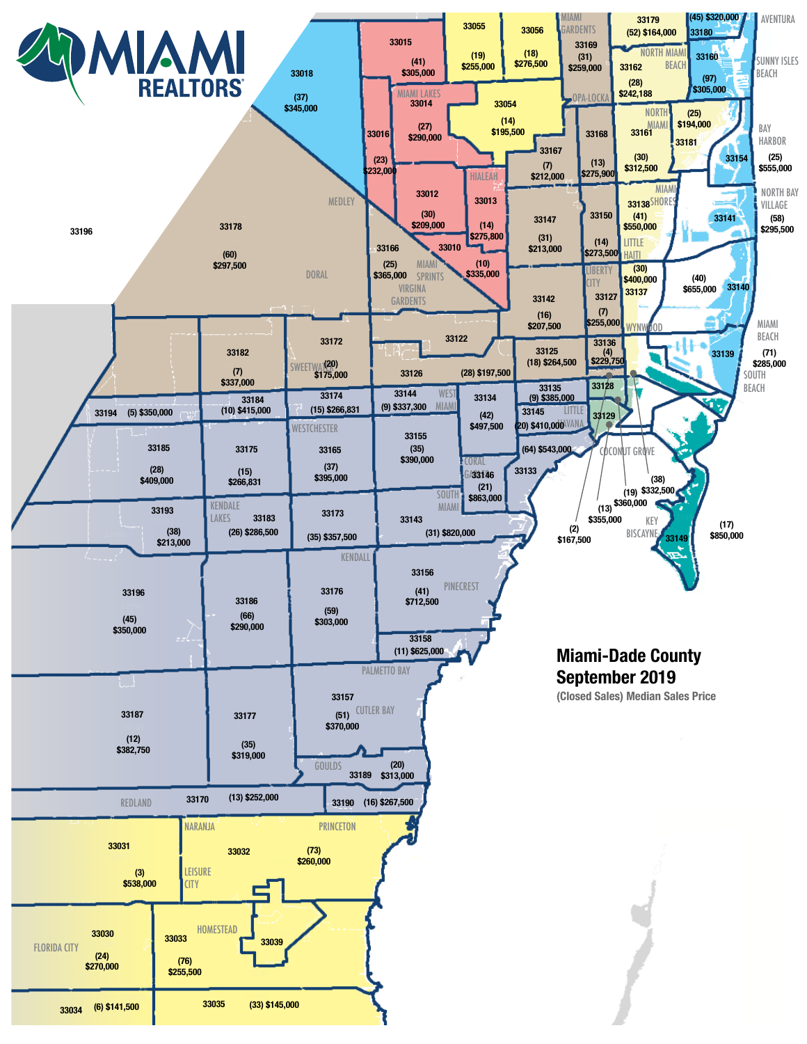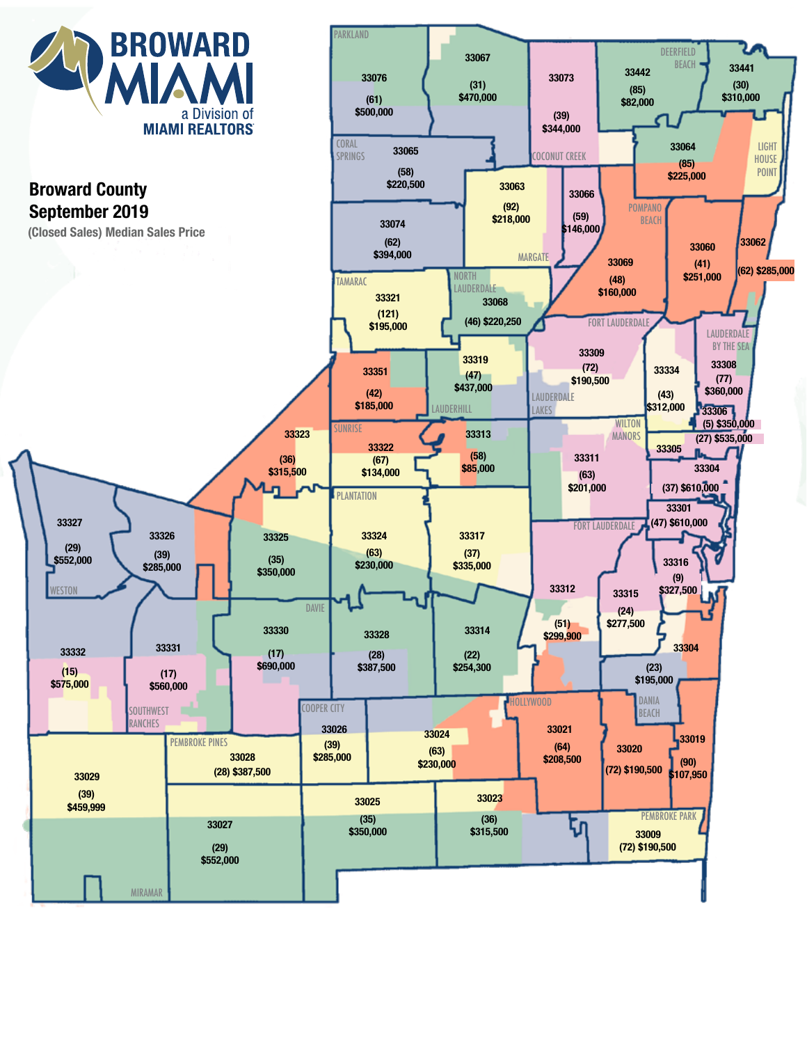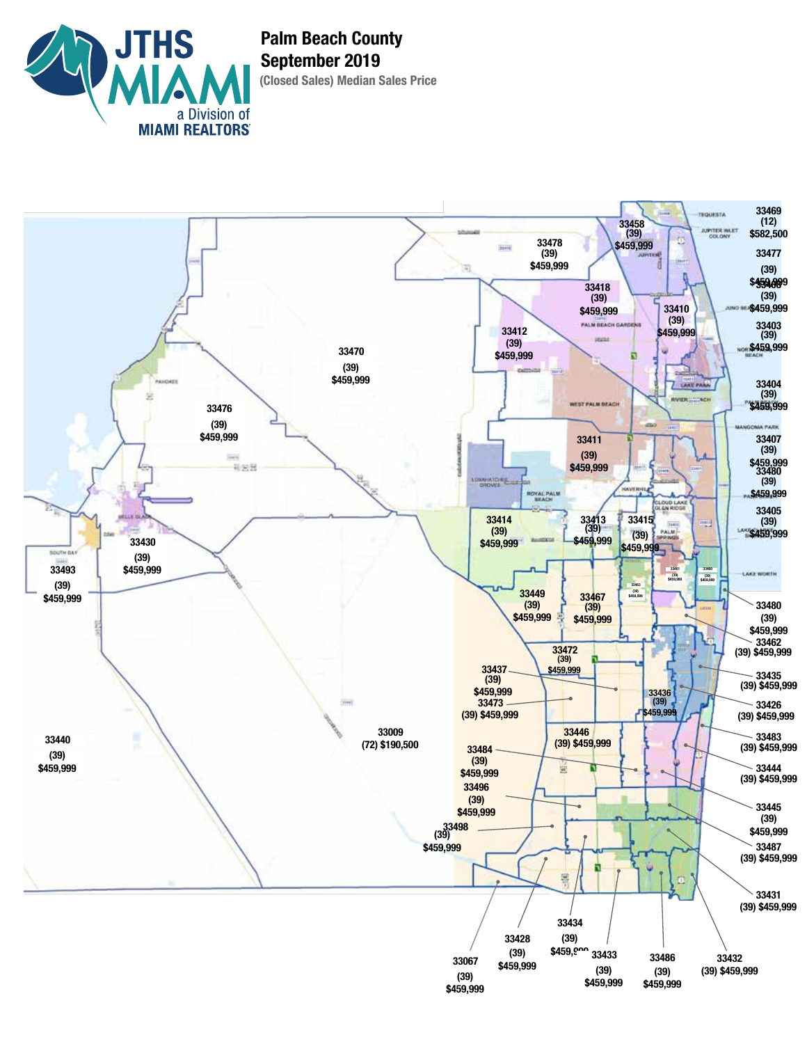

**(Closed Sales) Median Sales Price Palm Beach County September 2019**